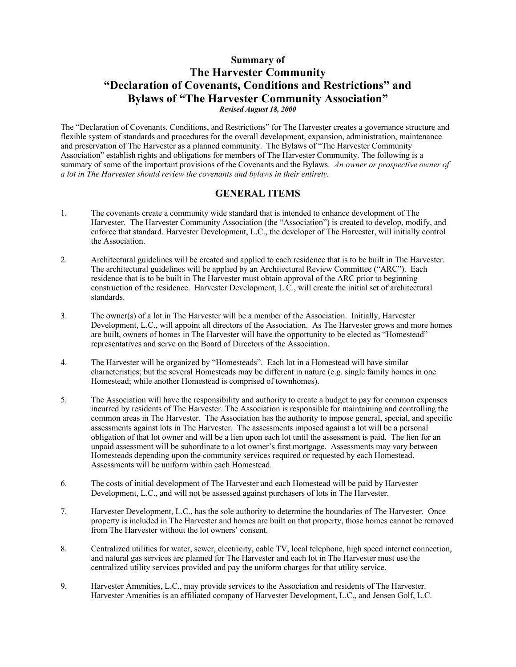## **Summary of The Harvester Community "Declaration of Covenants, Conditions and Restrictions" and Bylaws of "The Harvester Community Association"** *Revised August 18, 2000*

The "Declaration of Covenants, Conditions, and Restrictions" for The Harvester creates a governance structure and flexible system of standards and procedures for the overall development, expansion, administration, maintenance and preservation of The Harvester as a planned community. The Bylaws of "The Harvester Community Association" establish rights and obligations for members of The Harvester Community. The following is a summary of some of the important provisions of the Covenants and the Bylaws. *An owner or prospective owner of a lot in The Harvester should review the covenants and bylaws in their entirety.*

## **GENERAL ITEMS**

- 1. The covenants create a community wide standard that is intended to enhance development of The Harvester. The Harvester Community Association (the "Association") is created to develop, modify, and enforce that standard. Harvester Development, L.C., the developer of The Harvester, will initially control the Association.
- 2. Architectural guidelines will be created and applied to each residence that is to be built in The Harvester. The architectural guidelines will be applied by an Architectural Review Committee ("ARC"). Each residence that is to be built in The Harvester must obtain approval of the ARC prior to beginning construction of the residence. Harvester Development, L.C., will create the initial set of architectural standards.
- 3. The owner(s) of a lot in The Harvester will be a member of the Association. Initially, Harvester Development, L.C., will appoint all directors of the Association. As The Harvester grows and more homes are built, owners of homes in The Harvester will have the opportunity to be elected as "Homestead" representatives and serve on the Board of Directors of the Association.
- 4. The Harvester will be organized by "Homesteads". Each lot in a Homestead will have similar characteristics; but the several Homesteads may be different in nature (e.g. single family homes in one Homestead; while another Homestead is comprised of townhomes).
- 5. The Association will have the responsibility and authority to create a budget to pay for common expenses incurred by residents of The Harvester. The Association is responsible for maintaining and controlling the common areas in The Harvester. The Association has the authority to impose general, special, and specific assessments against lots in The Harvester. The assessments imposed against a lot will be a personal obligation of that lot owner and will be a lien upon each lot until the assessment is paid. The lien for an unpaid assessment will be subordinate to a lot owner's first mortgage. Assessments may vary between Homesteads depending upon the community services required or requested by each Homestead. Assessments will be uniform within each Homestead.
- 6. The costs of initial development of The Harvester and each Homestead will be paid by Harvester Development, L.C., and will not be assessed against purchasers of lots in The Harvester.
- 7. Harvester Development, L.C., has the sole authority to determine the boundaries of The Harvester. Once property is included in The Harvester and homes are built on that property, those homes cannot be removed from The Harvester without the lot owners' consent.
- 8. Centralized utilities for water, sewer, electricity, cable TV, local telephone, high speed internet connection, and natural gas services are planned for The Harvester and each lot in The Harvester must use the centralized utility services provided and pay the uniform charges for that utility service.
- 9. Harvester Amenities, L.C., may provide services to the Association and residents of The Harvester. Harvester Amenities is an affiliated company of Harvester Development, L.C., and Jensen Golf, L.C.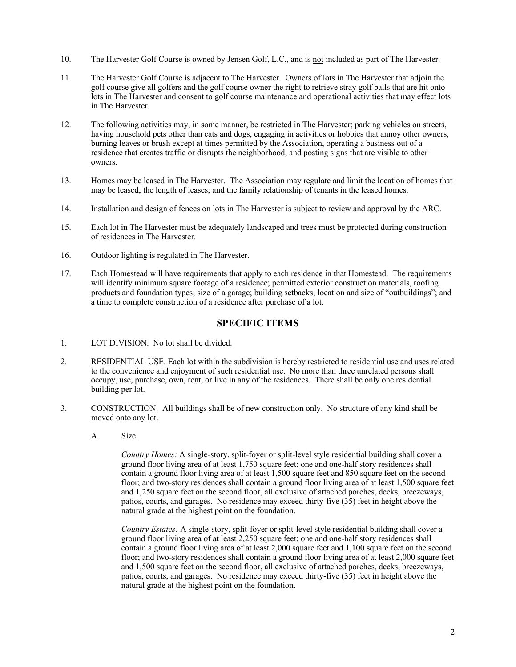- 10. The Harvester Golf Course is owned by Jensen Golf, L.C., and is not included as part of The Harvester.
- 11. The Harvester Golf Course is adjacent to The Harvester. Owners of lots in The Harvester that adjoin the golf course give all golfers and the golf course owner the right to retrieve stray golf balls that are hit onto lots in The Harvester and consent to golf course maintenance and operational activities that may effect lots in The Harvester.
- 12. The following activities may, in some manner, be restricted in The Harvester; parking vehicles on streets, having household pets other than cats and dogs, engaging in activities or hobbies that annoy other owners, burning leaves or brush except at times permitted by the Association, operating a business out of a residence that creates traffic or disrupts the neighborhood, and posting signs that are visible to other owners.
- 13. Homes may be leased in The Harvester. The Association may regulate and limit the location of homes that may be leased; the length of leases; and the family relationship of tenants in the leased homes.
- 14. Installation and design of fences on lots in The Harvester is subject to review and approval by the ARC.
- 15. Each lot in The Harvester must be adequately landscaped and trees must be protected during construction of residences in The Harvester.
- 16. Outdoor lighting is regulated in The Harvester.
- 17. Each Homestead will have requirements that apply to each residence in that Homestead. The requirements will identify minimum square footage of a residence; permitted exterior construction materials, roofing products and foundation types; size of a garage; building setbacks; location and size of "outbuildings"; and a time to complete construction of a residence after purchase of a lot.

## **SPECIFIC ITEMS**

- 1. LOT DIVISION.No lot shall be divided.
- 2. RESIDENTIAL USE. Each lot within the subdivision is hereby restricted to residential use and uses related to the convenience and enjoyment of such residential use. No more than three unrelated persons shall occupy, use, purchase, own, rent, or live in any of the residences. There shall be only one residential building per lot.
- 3. CONSTRUCTION. All buildings shall be of new construction only. No structure of any kind shall be moved onto any lot.
	- A. Size.

*Country Homes:* A single-story, split-foyer or split-level style residential building shall cover a ground floor living area of at least 1,750 square feet; one and one-half story residences shall contain a ground floor living area of at least 1,500 square feet and 850 square feet on the second floor; and two-story residences shall contain a ground floor living area of at least 1,500 square feet and 1,250 square feet on the second floor, all exclusive of attached porches, decks, breezeways, patios, courts, and garages. No residence may exceed thirty-five (35) feet in height above the natural grade at the highest point on the foundation.

*Country Estates:* A single-story, split-foyer or split-level style residential building shall cover a ground floor living area of at least 2,250 square feet; one and one-half story residences shall contain a ground floor living area of at least 2,000 square feet and 1,100 square feet on the second floor; and two-story residences shall contain a ground floor living area of at least 2,000 square feet and 1,500 square feet on the second floor, all exclusive of attached porches, decks, breezeways, patios, courts, and garages. No residence may exceed thirty-five (35) feet in height above the natural grade at the highest point on the foundation.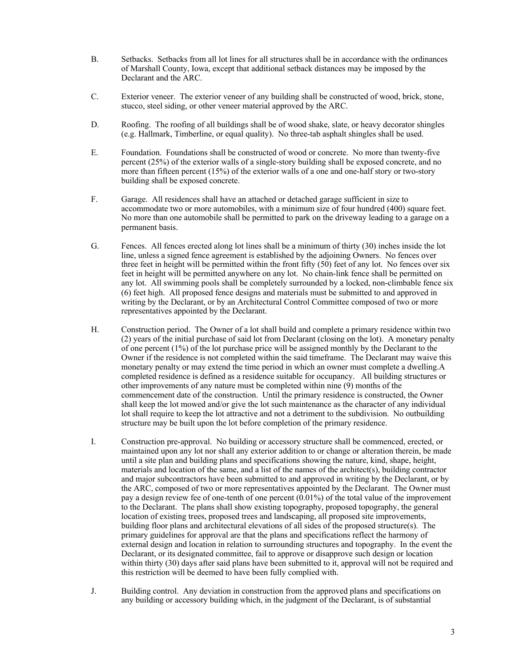- B. Setbacks. Setbacks from all lot lines for all structures shall be in accordance with the ordinances of Marshall County, Iowa, except that additional setback distances may be imposed by the Declarant and the ARC.
- C. Exterior veneer. The exterior veneer of any building shall be constructed of wood, brick, stone, stucco, steel siding, or other veneer material approved by the ARC.
- D. Roofing. The roofing of all buildings shall be of wood shake, slate, or heavy decorator shingles (e.g. Hallmark, Timberline, or equal quality). No three-tab asphalt shingles shall be used.
- E. Foundation. Foundations shall be constructed of wood or concrete. No more than twenty-five percent (25%) of the exterior walls of a single-story building shall be exposed concrete, and no more than fifteen percent (15%) of the exterior walls of a one and one-half story or two-story building shall be exposed concrete.
- F. Garage. All residences shall have an attached or detached garage sufficient in size to accommodate two or more automobiles, with a minimum size of four hundred (400) square feet. No more than one automobile shall be permitted to park on the driveway leading to a garage on a permanent basis.
- G. Fences. All fences erected along lot lines shall be a minimum of thirty (30) inches inside the lot line, unless a signed fence agreement is established by the adjoining Owners. No fences over three feet in height will be permitted within the front fifty (50) feet of any lot. No fences over six feet in height will be permitted anywhere on any lot. No chain-link fence shall be permitted on any lot. All swimming pools shall be completely surrounded by a locked, non-climbable fence six (6) feet high. All proposed fence designs and materials must be submitted to and approved in writing by the Declarant, or by an Architectural Control Committee composed of two or more representatives appointed by the Declarant.
- H. Construction period. The Owner of a lot shall build and complete a primary residence within two (2) years of the initial purchase of said lot from Declarant (closing on the lot). A monetary penalty of one percent  $(1\%)$  of the lot purchase price will be assigned monthly by the Declarant to the Owner if the residence is not completed within the said timeframe. The Declarant may waive this monetary penalty or may extend the time period in which an owner must complete a dwelling.A completed residence is defined as a residence suitable for occupancy. All building structures or other improvements of any nature must be completed within nine (9) months of the commencement date of the construction. Until the primary residence is constructed, the Owner shall keep the lot mowed and/or give the lot such maintenance as the character of any individual lot shall require to keep the lot attractive and not a detriment to the subdivision. No outbuilding structure may be built upon the lot before completion of the primary residence.
- I. Construction pre-approval. No building or accessory structure shall be commenced, erected, or maintained upon any lot nor shall any exterior addition to or change or alteration therein, be made until a site plan and building plans and specifications showing the nature, kind, shape, height, materials and location of the same, and a list of the names of the architect(s), building contractor and major subcontractors have been submitted to and approved in writing by the Declarant, or by the ARC, composed of two or more representatives appointed by the Declarant. The Owner must pay a design review fee of one-tenth of one percent (0.01%) of the total value of the improvement to the Declarant. The plans shall show existing topography, proposed topography, the general location of existing trees, proposed trees and landscaping, all proposed site improvements, building floor plans and architectural elevations of all sides of the proposed structure(s). The primary guidelines for approval are that the plans and specifications reflect the harmony of external design and location in relation to surrounding structures and topography. In the event the Declarant, or its designated committee, fail to approve or disapprove such design or location within thirty (30) days after said plans have been submitted to it, approval will not be required and this restriction will be deemed to have been fully complied with.
- J. Building control. Any deviation in construction from the approved plans and specifications on any building or accessory building which, in the judgment of the Declarant, is of substantial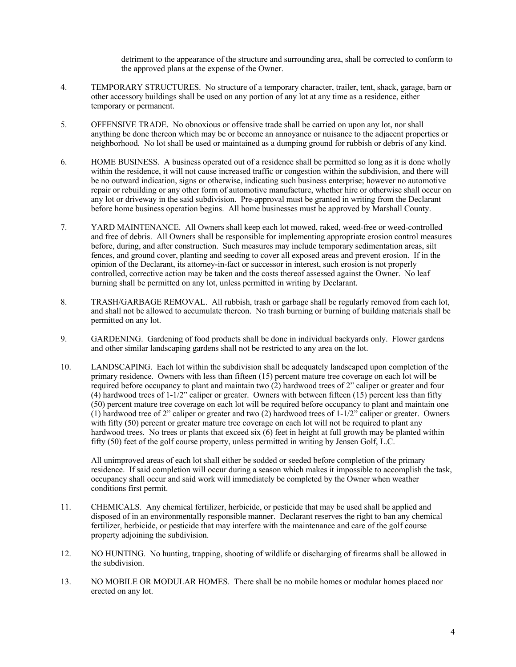detriment to the appearance of the structure and surrounding area, shall be corrected to conform to the approved plans at the expense of the Owner.

- 4. TEMPORARY STRUCTURES. No structure of a temporary character, trailer, tent, shack, garage, barn or other accessory buildings shall be used on any portion of any lot at any time as a residence, either temporary or permanent.
- 5. OFFENSIVE TRADE. No obnoxious or offensive trade shall be carried on upon any lot, nor shall anything be done thereon which may be or become an annoyance or nuisance to the adjacent properties or neighborhood. No lot shall be used or maintained as a dumping ground for rubbish or debris of any kind.
- 6. HOME BUSINESS. A business operated out of a residence shall be permitted so long as it is done wholly within the residence, it will not cause increased traffic or congestion within the subdivision, and there will be no outward indication, signs or otherwise, indicating such business enterprise; however no automotive repair or rebuilding or any other form of automotive manufacture, whether hire or otherwise shall occur on any lot or driveway in the said subdivision. Pre-approval must be granted in writing from the Declarant before home business operation begins. All home businesses must be approved by Marshall County.
- 7. YARD MAINTENANCE. All Owners shall keep each lot mowed, raked, weed-free or weed-controlled and free of debris. All Owners shall be responsible for implementing appropriate erosion control measures before, during, and after construction. Such measures may include temporary sedimentation areas, silt fences, and ground cover, planting and seeding to cover all exposed areas and prevent erosion. If in the opinion of the Declarant, its attorney-in-fact or successor in interest, such erosion is not properly controlled, corrective action may be taken and the costs thereof assessed against the Owner. No leaf burning shall be permitted on any lot, unless permitted in writing by Declarant.
- 8. TRASH/GARBAGE REMOVAL. All rubbish, trash or garbage shall be regularly removed from each lot, and shall not be allowed to accumulate thereon. No trash burning or burning of building materials shall be permitted on any lot.
- 9. GARDENING. Gardening of food products shall be done in individual backyards only. Flower gardens and other similar landscaping gardens shall not be restricted to any area on the lot.
- 10. LANDSCAPING. Each lot within the subdivision shall be adequately landscaped upon completion of the primary residence. Owners with less than fifteen (15) percent mature tree coverage on each lot will be required before occupancy to plant and maintain two (2) hardwood trees of 2" caliper or greater and four (4) hardwood trees of 1-1/2" caliper or greater. Owners with between fifteen (15) percent less than fifty (50) percent mature tree coverage on each lot will be required before occupancy to plant and maintain one (1) hardwood tree of 2" caliper or greater and two (2) hardwood trees of  $1-1/2$ " caliper or greater. Owners with fifty (50) percent or greater mature tree coverage on each lot will not be required to plant any hardwood trees. No trees or plants that exceed six (6) feet in height at full growth may be planted within fifty (50) feet of the golf course property, unless permitted in writing by Jensen Golf, L.C.

All unimproved areas of each lot shall either be sodded or seeded before completion of the primary residence. If said completion will occur during a season which makes it impossible to accomplish the task, occupancy shall occur and said work will immediately be completed by the Owner when weather conditions first permit.

- 11. CHEMICALS. Any chemical fertilizer, herbicide, or pesticide that may be used shall be applied and disposed of in an environmentally responsible manner. Declarant reserves the right to ban any chemical fertilizer, herbicide, or pesticide that may interfere with the maintenance and care of the golf course property adjoining the subdivision.
- 12. NO HUNTING. No hunting, trapping, shooting of wildlife or discharging of firearms shall be allowed in the subdivision.
- 13. NO MOBILE OR MODULAR HOMES. There shall be no mobile homes or modular homes placed nor erected on any lot.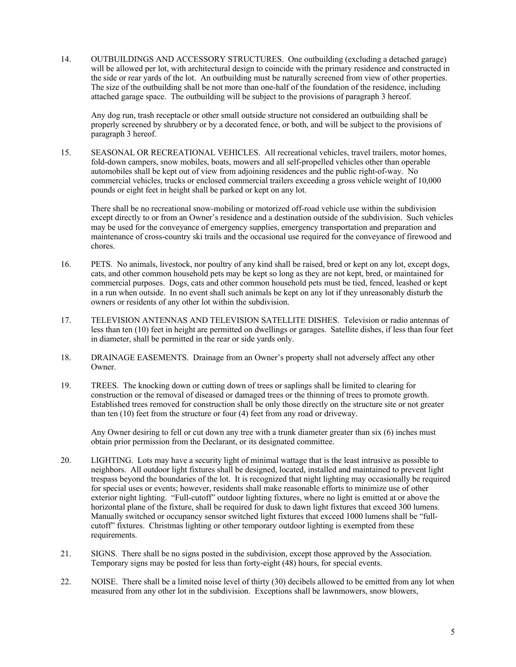14. OUTBUILDINGS AND ACCESSORY STRUCTURES. One outbuilding (excluding a detached garage) will be allowed per lot, with architectural design to coincide with the primary residence and constructed in the side or rear yards of the lot. An outbuilding must be naturally screened from view of other properties. The size of the outbuilding shall be not more than one-half of the foundation of the residence, including attached garage space. The outbuilding will be subject to the provisions of paragraph 3 hereof.

Any dog run, trash receptacle or other small outside structure not considered an outbuilding shall be properly screened by shrubbery or by a decorated fence, or both, and will be subject to the provisions of paragraph 3 hereof.

15. SEASONAL OR RECREATIONAL VEHICLES. All recreational vehicles, travel trailers, motor homes, fold-down campers, snow mobiles, boats, mowers and all self-propelled vehicles other than operable automobiles shall be kept out of view from adjoining residences and the public right-of-way. No commercial vehicles, trucks or enclosed commercial trailers exceeding a gross vehicle weight of 10,000 pounds or eight feet in height shall be parked or kept on any lot.

There shall be no recreational snow-mobiling or motorized off-road vehicle use within the subdivision except directly to or from an Owner's residence and a destination outside of the subdivision. Such vehicles may be used for the conveyance of emergency supplies, emergency transportation and preparation and maintenance of cross-country ski trails and the occasional use required for the conveyance of firewood and chores.

- 16. PETS. No animals, livestock, nor poultry of any kind shall be raised, bred or kept on any lot, except dogs, cats, and other common household pets may be kept so long as they are not kept, bred, or maintained for commercial purposes. Dogs, cats and other common household pets must be tied, fenced, leashed or kept in a run when outside. In no event shall such animals be kept on any lot if they unreasonably disturb the owners or residents of any other lot within the subdivision.
- 17. TELEVISION ANTENNAS AND TELEVISION SATELLITE DISHES. Television or radio antennas of less than ten (10) feet in height are permitted on dwellings or garages. Satellite dishes, if less than four feet in diameter, shall be permitted in the rear or side yards only.
- 18. DRAINAGE EASEMENTS. Drainage from an Owner's property shall not adversely affect any other Owner.
- 19. TREES. The knocking down or cutting down of trees or saplings shall be limited to clearing for construction or the removal of diseased or damaged trees or the thinning of trees to promote growth. Established trees removed for construction shall be only those directly on the structure site or not greater than ten (10) feet from the structure or four (4) feet from any road or driveway.

Any Owner desiring to fell or cut down any tree with a trunk diameter greater than six (6) inches must obtain prior permission from the Declarant, or its designated committee.

- 20. LIGHTING. Lots may have a security light of minimal wattage that is the least intrusive as possible to neighbors. All outdoor light fixtures shall be designed, located, installed and maintained to prevent light trespass beyond the boundaries of the lot. It is recognized that night lighting may occasionally be required for special uses or events; however, residents shall make reasonable efforts to minimize use of other exterior night lighting. "Full-cutoff" outdoor lighting fixtures, where no light is emitted at or above the horizontal plane of the fixture, shall be required for dusk to dawn light fixtures that exceed 300 lumens. Manually switched or occupancy sensor switched light fixtures that exceed 1000 lumens shall be "fullcutoff" fixtures. Christmas lighting or other temporary outdoor lighting is exempted from these requirements.
- 21. SIGNS. There shall be no signs posted in the subdivision, except those approved by the Association. Temporary signs may be posted for less than forty-eight (48) hours, for special events.
- 22. NOISE. There shall be a limited noise level of thirty (30) decibels allowed to be emitted from any lot when measured from any other lot in the subdivision. Exceptions shall be lawnmowers, snow blowers,